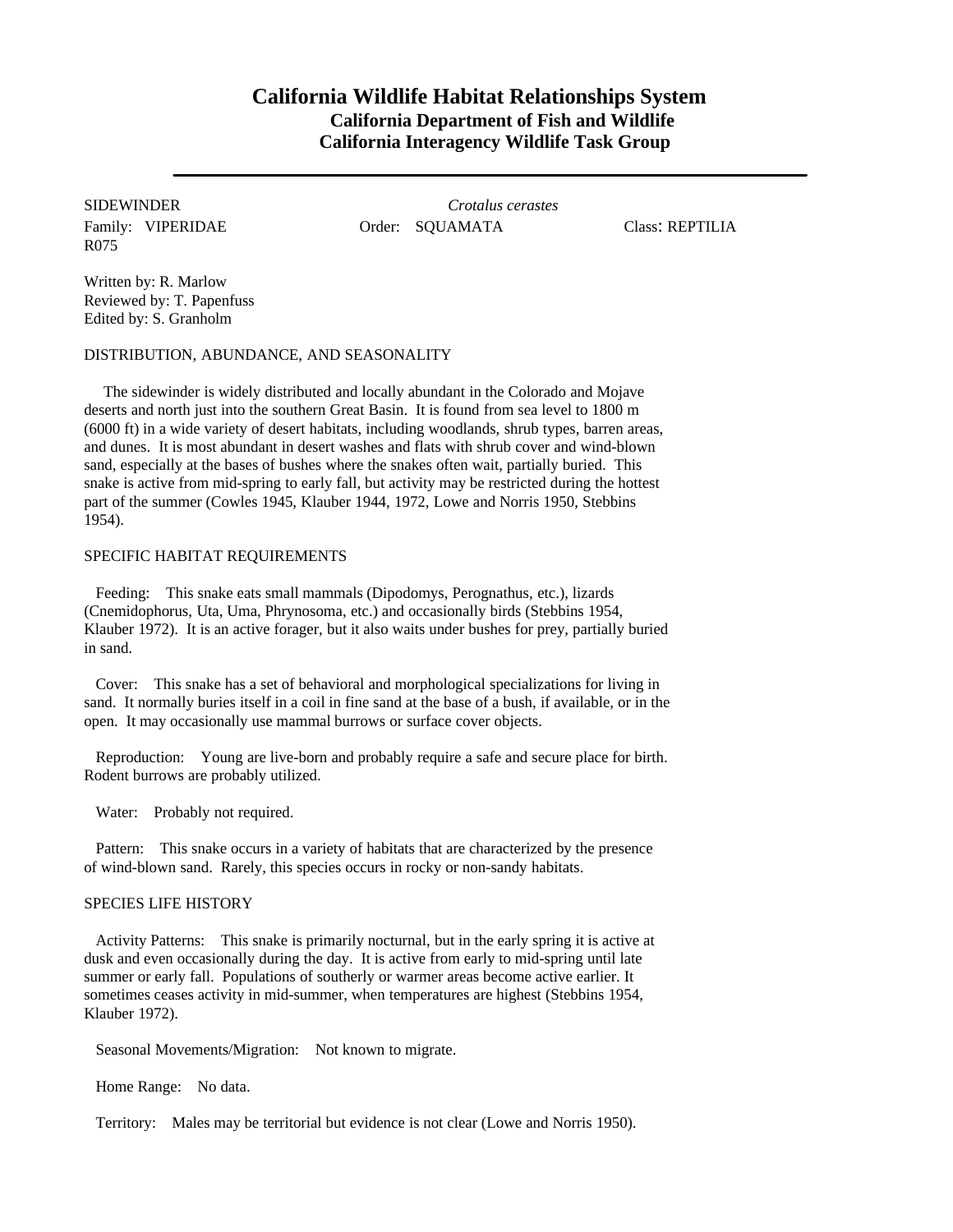## **California Wildlife Habitat Relationships System California Department of Fish and Wildlife California Interagency Wildlife Task Group**

R075

SIDEWINDER *Crotalus cerastes* Family: VIPERIDAE **Order: SQUAMATA** Class: REPTILIA

Written by: R. Marlow Reviewed by: T. Papenfuss Edited by: S. Granholm

DISTRIBUTION, ABUNDANCE, AND SEASONALITY

The sidewinder is widely distributed and locally abundant in the Colorado and Mojave deserts and north just into the southern Great Basin. It is found from sea level to 1800 m (6000 ft) in a wide variety of desert habitats, including woodlands, shrub types, barren areas, and dunes. It is most abundant in desert washes and flats with shrub cover and wind-blown sand, especially at the bases of bushes where the snakes often wait, partially buried. This snake is active from mid-spring to early fall, but activity may be restricted during the hottest part of the summer (Cowles 1945, Klauber 1944, 1972, Lowe and Norris 1950, Stebbins 1954).

## SPECIFIC HABITAT REQUIREMENTS

Feeding: This snake eats small mammals (Dipodomys, Perognathus, etc.), lizards (Cnemidophorus, Uta, Uma, Phrynosoma, etc.) and occasionally birds (Stebbins 1954, Klauber 1972). It is an active forager, but it also waits under bushes for prey, partially buried in sand.

Cover: This snake has a set of behavioral and morphological specializations for living in sand. It normally buries itself in a coil in fine sand at the base of a bush, if available, or in the open. It may occasionally use mammal burrows or surface cover objects.

Reproduction: Young are live-born and probably require a safe and secure place for birth. Rodent burrows are probably utilized.

Water: Probably not required.

Pattern: This snake occurs in a variety of habitats that are characterized by the presence of wind-blown sand. Rarely, this species occurs in rocky or non-sandy habitats.

## SPECIES LIFE HISTORY

Activity Patterns: This snake is primarily nocturnal, but in the early spring it is active at dusk and even occasionally during the day. It is active from early to mid-spring until late summer or early fall. Populations of southerly or warmer areas become active earlier. It sometimes ceases activity in mid-summer, when temperatures are highest (Stebbins 1954, Klauber 1972).

Seasonal Movements/Migration: Not known to migrate.

Home Range: No data.

Territory: Males may be territorial but evidence is not clear (Lowe and Norris 1950).